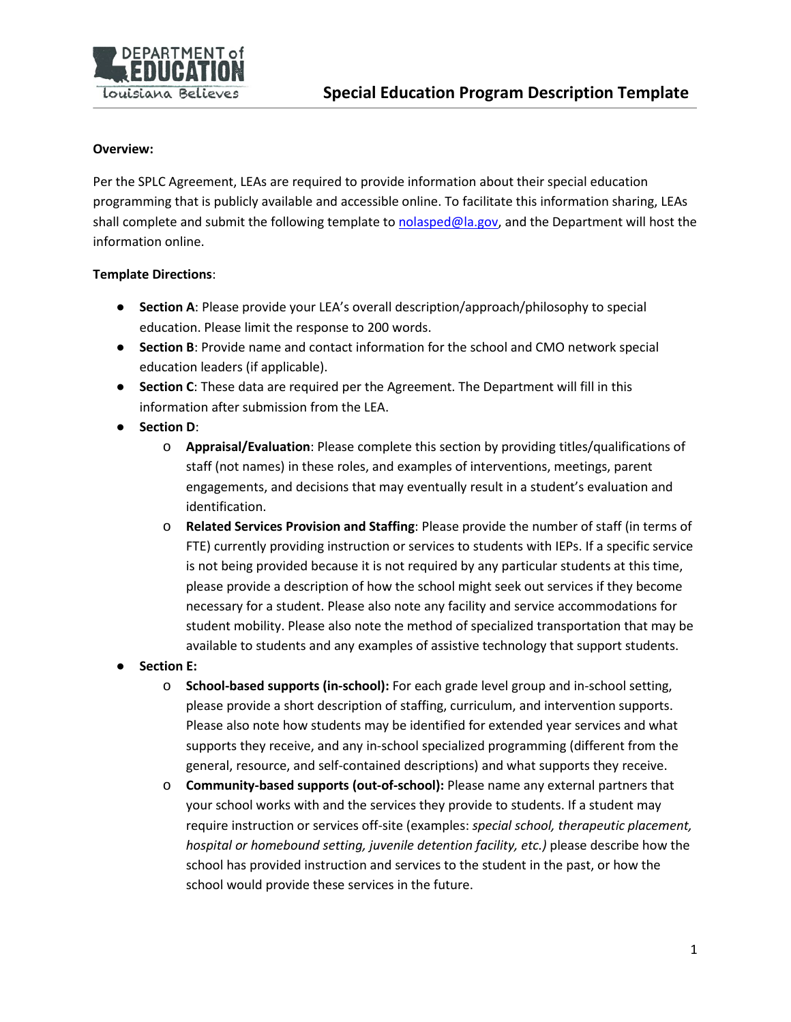

#### **Overview:**

Per the SPLC Agreement, LEAs are required to provide information about their special education programming that is publicly available and accessible online. To facilitate this information sharing, LEAs shall complete and submit the following template t[o nolasped@la.gov,](mailto:nolasped@la.gov) and the Department will host the information online.

### **Template Directions**:

- **Section A**: Please provide your LEA's overall description/approach/philosophy to special education. Please limit the response to 200 words.
- **•** Section B: Provide name and contact information for the school and CMO network special education leaders (if applicable).
- **Section C**: These data are required per the Agreement. The Department will fill in this information after submission from the LEA.
- **Section D**:
	- o **Appraisal/Evaluation**: Please complete this section by providing titles/qualifications of staff (not names) in these roles, and examples of interventions, meetings, parent engagements, and decisions that may eventually result in a student's evaluation and identification.
	- o **Related Services Provision and Staffing**: Please provide the number of staff (in terms of FTE) currently providing instruction or services to students with IEPs. If a specific service is not being provided because it is not required by any particular students at this time, please provide a description of how the school might seek out services if they become necessary for a student. Please also note any facility and service accommodations for student mobility. Please also note the method of specialized transportation that may be available to students and any examples of assistive technology that support students.
- **Section E:** 
	- o **School-based supports (in-school):** For each grade level group and in-school setting, please provide a short description of staffing, curriculum, and intervention supports. Please also note how students may be identified for extended year services and what supports they receive, and any in-school specialized programming (different from the general, resource, and self-contained descriptions) and what supports they receive.
	- o **Community-based supports (out-of-school):** Please name any external partners that your school works with and the services they provide to students. If a student may require instruction or services off-site (examples: *special school, therapeutic placement, hospital or homebound setting, juvenile detention facility, etc.)* please describe how the school has provided instruction and services to the student in the past, or how the school would provide these services in the future.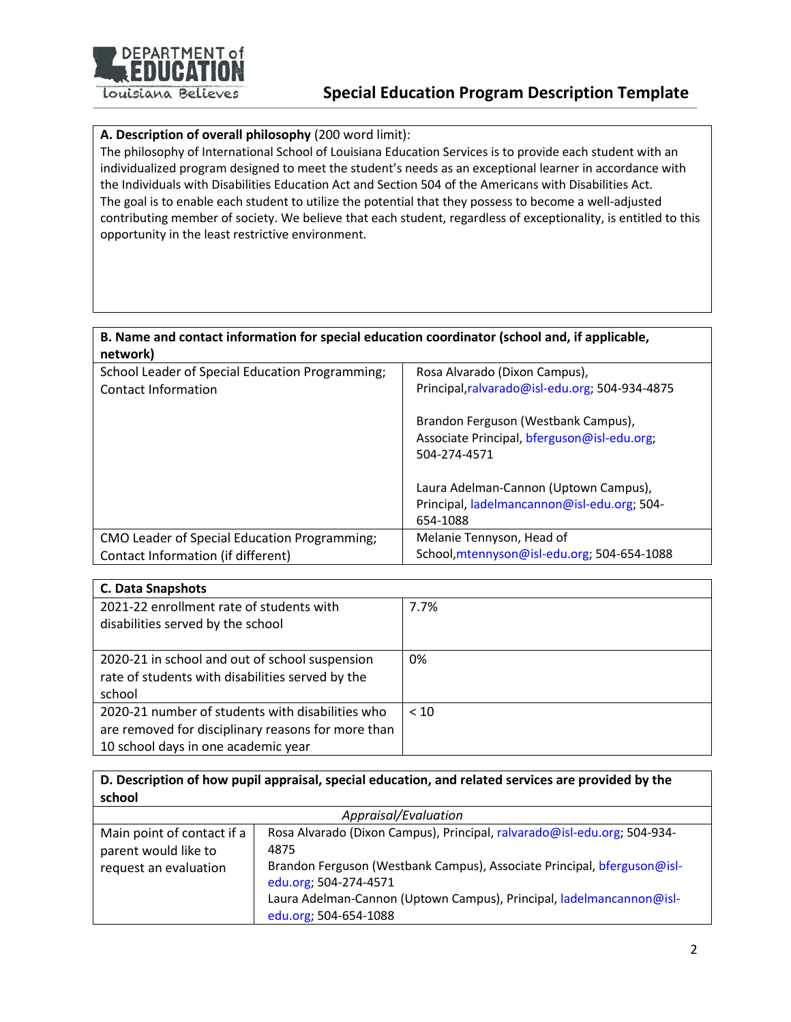

### **Special Education Program Description Template**

### **A. Description of overall philosophy** (200 word limit):

The philosophy of International School of Louisiana Education Services is to provide each student with an individualized program designed to meet the student's needs as an exceptional learner in accordance with the Individuals with Disabilities Education Act and Section 504 of the Americans with Disabilities Act. The goal is to enable each student to utilize the potential that they possess to become a well-adjusted contributing member of society. We believe that each student, regardless of exceptionality, is entitled to this opportunity in the least restrictive environment.

### **B. Name and contact information for special education coordinator (school and, if applicable, network)**

| School Leader of Special Education Programming; | Rosa Alvarado (Dixon Campus),                  |
|-------------------------------------------------|------------------------------------------------|
| Contact Information                             | Principal, ralvarado@isl-edu.org; 504-934-4875 |
|                                                 |                                                |
|                                                 | Brandon Ferguson (Westbank Campus),            |
|                                                 | Associate Principal, bferguson@isl-edu.org;    |
|                                                 | 504-274-4571                                   |
|                                                 |                                                |
|                                                 | Laura Adelman-Cannon (Uptown Campus),          |
|                                                 | Principal, ladelmancannon@isl-edu.org; 504-    |
|                                                 | 654-1088                                       |
| CMO Leader of Special Education Programming;    | Melanie Tennyson, Head of                      |
| Contact Information (if different)              | School, mtennyson@isl-edu.org; 504-654-1088    |

| <b>C. Data Snapshots</b>                           |      |
|----------------------------------------------------|------|
| 2021-22 enrollment rate of students with           | 7.7% |
| disabilities served by the school                  |      |
|                                                    |      |
| 2020-21 in school and out of school suspension     | 0%   |
| rate of students with disabilities served by the   |      |
| school                                             |      |
| 2020-21 number of students with disabilities who   | < 10 |
| are removed for disciplinary reasons for more than |      |
| 10 school days in one academic year                |      |

**D. Description of how pupil appraisal, special education, and related services are provided by the school**

| Appraisal/Evaluation       |                                                                          |  |
|----------------------------|--------------------------------------------------------------------------|--|
| Main point of contact if a | Rosa Alvarado (Dixon Campus), Principal, ralvarado@isl-edu.org; 504-934- |  |
| parent would like to       | 4875                                                                     |  |
| request an evaluation      | Brandon Ferguson (Westbank Campus), Associate Principal, bferguson@isl-  |  |
|                            | edu.org; 504-274-4571                                                    |  |
|                            | Laura Adelman-Cannon (Uptown Campus), Principal, ladelmancannon@isl-     |  |
|                            | edu.org; 504-654-1088                                                    |  |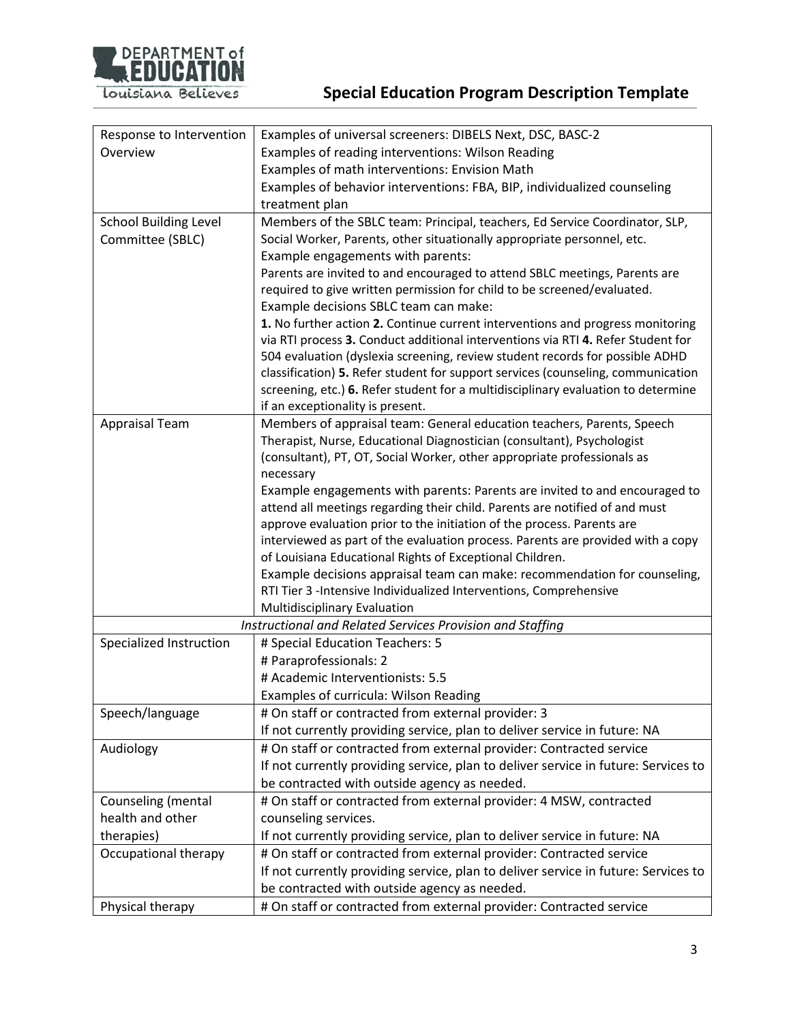

| Response to Intervention     | Examples of universal screeners: DIBELS Next, DSC, BASC-2                               |  |
|------------------------------|-----------------------------------------------------------------------------------------|--|
| Overview                     | Examples of reading interventions: Wilson Reading                                       |  |
|                              | Examples of math interventions: Envision Math                                           |  |
|                              | Examples of behavior interventions: FBA, BIP, individualized counseling                 |  |
|                              | treatment plan                                                                          |  |
| <b>School Building Level</b> | Members of the SBLC team: Principal, teachers, Ed Service Coordinator, SLP,             |  |
| Committee (SBLC)             | Social Worker, Parents, other situationally appropriate personnel, etc.                 |  |
|                              | Example engagements with parents:                                                       |  |
|                              | Parents are invited to and encouraged to attend SBLC meetings, Parents are              |  |
|                              | required to give written permission for child to be screened/evaluated.                 |  |
|                              | Example decisions SBLC team can make:                                                   |  |
|                              | 1. No further action 2. Continue current interventions and progress monitoring          |  |
|                              | via RTI process 3. Conduct additional interventions via RTI 4. Refer Student for        |  |
|                              | 504 evaluation (dyslexia screening, review student records for possible ADHD            |  |
|                              | classification) 5. Refer student for support services (counseling, communication        |  |
|                              | screening, etc.) 6. Refer student for a multidisciplinary evaluation to determine       |  |
|                              | if an exceptionality is present.                                                        |  |
| <b>Appraisal Team</b>        | Members of appraisal team: General education teachers, Parents, Speech                  |  |
|                              | Therapist, Nurse, Educational Diagnostician (consultant), Psychologist                  |  |
|                              | (consultant), PT, OT, Social Worker, other appropriate professionals as                 |  |
|                              | necessary<br>Example engagements with parents: Parents are invited to and encouraged to |  |
|                              | attend all meetings regarding their child. Parents are notified of and must             |  |
|                              | approve evaluation prior to the initiation of the process. Parents are                  |  |
|                              | interviewed as part of the evaluation process. Parents are provided with a copy         |  |
|                              | of Louisiana Educational Rights of Exceptional Children.                                |  |
|                              | Example decisions appraisal team can make: recommendation for counseling,               |  |
|                              | RTI Tier 3 -Intensive Individualized Interventions, Comprehensive                       |  |
|                              | Multidisciplinary Evaluation                                                            |  |
|                              | Instructional and Related Services Provision and Staffing                               |  |
| Specialized Instruction      | # Special Education Teachers: 5                                                         |  |
|                              | # Paraprofessionals: 2                                                                  |  |
|                              | # Academic Interventionists: 5.5                                                        |  |
|                              | Examples of curricula: Wilson Reading                                                   |  |
| Speech/language              | # On staff or contracted from external provider: 3                                      |  |
|                              | If not currently providing service, plan to deliver service in future: NA               |  |
| Audiology                    | # On staff or contracted from external provider: Contracted service                     |  |
|                              | If not currently providing service, plan to deliver service in future: Services to      |  |
|                              | be contracted with outside agency as needed.                                            |  |
| Counseling (mental           | # On staff or contracted from external provider: 4 MSW, contracted                      |  |
| health and other             | counseling services.                                                                    |  |
| therapies)                   | If not currently providing service, plan to deliver service in future: NA               |  |
| Occupational therapy         | # On staff or contracted from external provider: Contracted service                     |  |
|                              | If not currently providing service, plan to deliver service in future: Services to      |  |
|                              | be contracted with outside agency as needed.                                            |  |
| Physical therapy             | # On staff or contracted from external provider: Contracted service                     |  |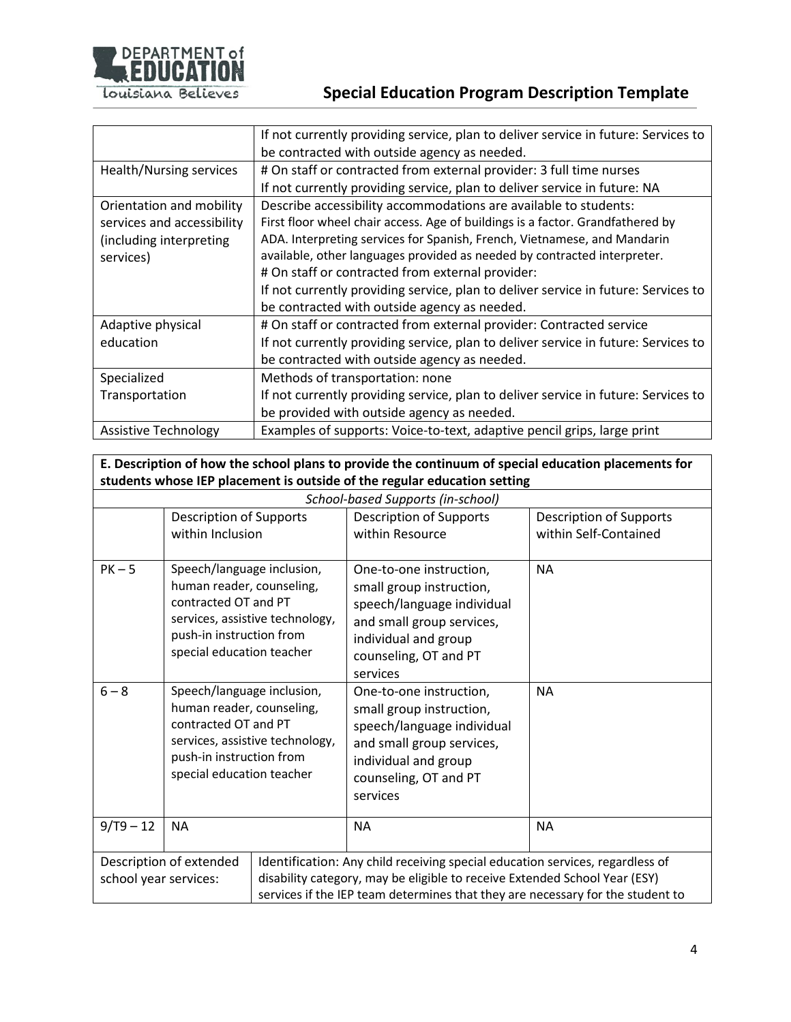

# **Special Education Program Description Template**

|                             | If not currently providing service, plan to deliver service in future: Services to |  |  |
|-----------------------------|------------------------------------------------------------------------------------|--|--|
|                             | be contracted with outside agency as needed.                                       |  |  |
| Health/Nursing services     | # On staff or contracted from external provider: 3 full time nurses                |  |  |
|                             | If not currently providing service, plan to deliver service in future: NA          |  |  |
| Orientation and mobility    | Describe accessibility accommodations are available to students:                   |  |  |
| services and accessibility  | First floor wheel chair access. Age of buildings is a factor. Grandfathered by     |  |  |
| (including interpreting     | ADA. Interpreting services for Spanish, French, Vietnamese, and Mandarin           |  |  |
| services)                   | available, other languages provided as needed by contracted interpreter.           |  |  |
|                             | # On staff or contracted from external provider:                                   |  |  |
|                             | If not currently providing service, plan to deliver service in future: Services to |  |  |
|                             | be contracted with outside agency as needed.                                       |  |  |
| Adaptive physical           | # On staff or contracted from external provider: Contracted service                |  |  |
| education                   | If not currently providing service, plan to deliver service in future: Services to |  |  |
|                             | be contracted with outside agency as needed.                                       |  |  |
| Specialized                 | Methods of transportation: none                                                    |  |  |
| Transportation              | If not currently providing service, plan to deliver service in future: Services to |  |  |
|                             | be provided with outside agency as needed.                                         |  |  |
| <b>Assistive Technology</b> | Examples of supports: Voice-to-text, adaptive pencil grips, large print            |  |  |

# **E. Description of how the school plans to provide the continuum of special education placements for students whose IEP placement is outside of the regular education setting**

| School-based Supports (in-school) |                                                                                                                                                                                                                                                                                                   |  |                                                                                                                                                                             |                                                         |
|-----------------------------------|---------------------------------------------------------------------------------------------------------------------------------------------------------------------------------------------------------------------------------------------------------------------------------------------------|--|-----------------------------------------------------------------------------------------------------------------------------------------------------------------------------|---------------------------------------------------------|
|                                   | <b>Description of Supports</b><br>within Inclusion                                                                                                                                                                                                                                                |  | <b>Description of Supports</b><br>within Resource                                                                                                                           | <b>Description of Supports</b><br>within Self-Contained |
| $PK-5$                            | Speech/language inclusion,<br>human reader, counseling,<br>contracted OT and PT<br>services, assistive technology,<br>push-in instruction from<br>special education teacher                                                                                                                       |  | One-to-one instruction,<br>small group instruction,<br>speech/language individual<br>and small group services,<br>individual and group<br>counseling, OT and PT<br>services | <b>NA</b>                                               |
| $6 - 8$                           | Speech/language inclusion,<br>human reader, counseling,<br>contracted OT and PT<br>services, assistive technology,<br>push-in instruction from<br>special education teacher                                                                                                                       |  | One-to-one instruction,<br>small group instruction,<br>speech/language individual<br>and small group services,<br>individual and group<br>counseling, OT and PT<br>services | <b>NA</b>                                               |
| $9/T9 - 12$                       | <b>NA</b>                                                                                                                                                                                                                                                                                         |  | <b>NA</b>                                                                                                                                                                   | <b>NA</b>                                               |
|                                   | Description of extended<br>Identification: Any child receiving special education services, regardless of<br>disability category, may be eligible to receive Extended School Year (ESY)<br>school year services:<br>services if the IEP team determines that they are necessary for the student to |  |                                                                                                                                                                             |                                                         |